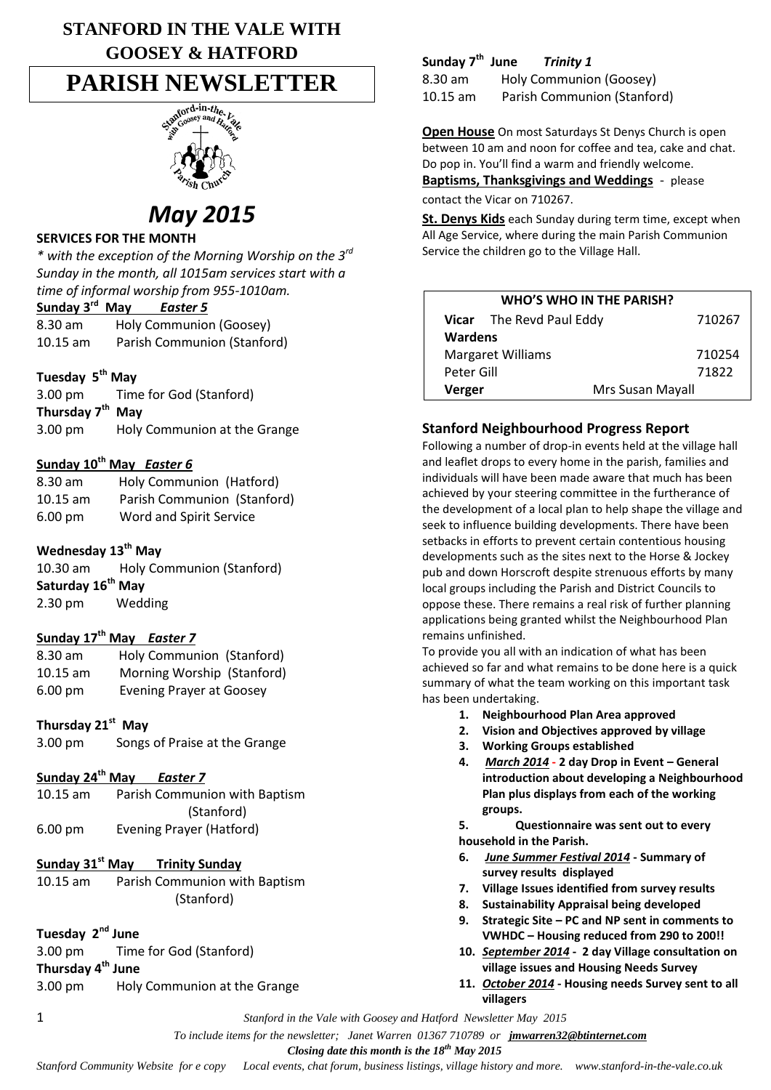## **STANFORD IN THE VALE WITH GOOSEY & HATFORD**

# **PARISH NEWSLETTER**



## *May 2015*

### **SERVICES FOR THE MONTH**

*\* with the exception of the Morning Worship on the 3rd Sunday in the month, all 1015am services start with a time of informal worship from 955-1010am.*

### **Sunday 3 rd May** *Easter 5*

8.30 am Holy Communion (Goosey) 10.15 am Parish Communion (Stanford)

## **Tuesday 5th May**

| $3.00 \text{ pm}$            | Time for God (Stanford)      |  |
|------------------------------|------------------------------|--|
| Thursday 7 <sup>th</sup> May |                              |  |
| $3.00 \text{ pm}$            | Holy Communion at the Grange |  |

### **Sunday 10th May** *Easter 6*

| $8.30$ am         | Holy Communion (Hatford)    |
|-------------------|-----------------------------|
| $10.15$ am        | Parish Communion (Stanford) |
| $6.00 \text{ pm}$ | Word and Spirit Service     |

## **Wednesday 13th May**

| $10.30$ am                    | <b>Holy Communion (Stanford)</b> |  |
|-------------------------------|----------------------------------|--|
| Saturday 16 <sup>th</sup> May |                                  |  |
| $2.30 \text{ pm}$             | Wedding                          |  |

### **Sunday 17th May** *Easter 7*

| 8.30 am           | Holy Communion (Stanford)       |  |
|-------------------|---------------------------------|--|
| $10.15$ am        | Morning Worship (Stanford)      |  |
| $6.00 \text{ pm}$ | <b>Evening Prayer at Goosey</b> |  |

## **Thursday 21st May**

| 3.00 pm | Songs of Praise at the Grange |
|---------|-------------------------------|
|---------|-------------------------------|

## **Sunday 24th May** *Easter 7*

| $10.15$ am        | Parish Communion with Baptism |
|-------------------|-------------------------------|
|                   | (Stanford)                    |
| $6.00 \text{ pm}$ | Evening Prayer (Hatford)      |

### **Sunday 31st May Trinity Sunday**

10.15 am Parish Communion with Baptism (Stanford)

### **Tuesday 2nd June**

3.00 pm Time for God (Stanford) **Thursday 4 th June** 3.00 pm Holy Communion at the Grange

#### **Sunday 7th** *Trinity 1*

8.30 am Holy Communion (Goosey) 10.15 am Parish Communion (Stanford)

**Open House** On most Saturdays St Denys Church is open between 10 am and noon for coffee and tea, cake and chat. Do pop in. You'll find a warm and friendly welcome.

**Baptisms, Thanksgivings and Weddings** - please contact the Vicar on 710267.

**St. Denys Kids** each Sunday during term time, except when All Age Service, where during the main Parish Communion Service the children go to the Village Hall.

| <b>WHO'S WHO IN THE PARISH?</b> |                            |        |  |
|---------------------------------|----------------------------|--------|--|
|                                 | Vicar The Revd Paul Eddy   | 710267 |  |
| <b>Wardens</b>                  |                            |        |  |
| <b>Margaret Williams</b>        |                            | 710254 |  |
| Peter Gill                      |                            | 71822  |  |
|                                 | Mrs Susan Mayall<br>Verger |        |  |

### **Stanford Neighbourhood Progress Report**

Following a number of drop-in events held at the village hall and leaflet drops to every home in the parish, families and individuals will have been made aware that much has been achieved by your steering committee in the furtherance of the development of a local plan to help shape the village and seek to influence building developments. There have been setbacks in efforts to prevent certain contentious housing developments such as the sites next to the Horse & Jockey pub and down Horscroft despite strenuous efforts by many local groups including the Parish and District Councils to oppose these. There remains a real risk of further planning applications being granted whilst the Neighbourhood Plan remains unfinished.

To provide you all with an indication of what has been achieved so far and what remains to be done here is a quick summary of what the team working on this important task has been undertaking.

- **1. Neighbourhood Plan Area approved**
- **2. Vision and Objectives approved by village**
- **3. Working Groups established**
- **4.** *March 2014* **- 2 day Drop in Event – General introduction about developing a Neighbourhood Plan plus displays from each of the working groups.**

**5. Questionnaire was sent out to every household in the Parish.** 

- **6.** *June Summer Festival 2014* **- Summary of survey results displayed**
- **7. Village Issues identified from survey results**
- **8. Sustainability Appraisal being developed**
- **9. Strategic Site – PC and NP sent in comments to VWHDC – Housing reduced from 290 to 200!!**
- **10.** *September 2014*  **2 day Village consultation on village issues and Housing Needs Survey**
- **11.** *October 2014* **- Housing needs Survey sent to all villagers**

1 *Stanford in the Vale with Goosey and Hatford Newsletter May 2015*

 *To include items for the newsletter; Janet Warren 01367 710789 or jmwarren32@btinternet.com*

 *Closing date this month is the 18th May 2015*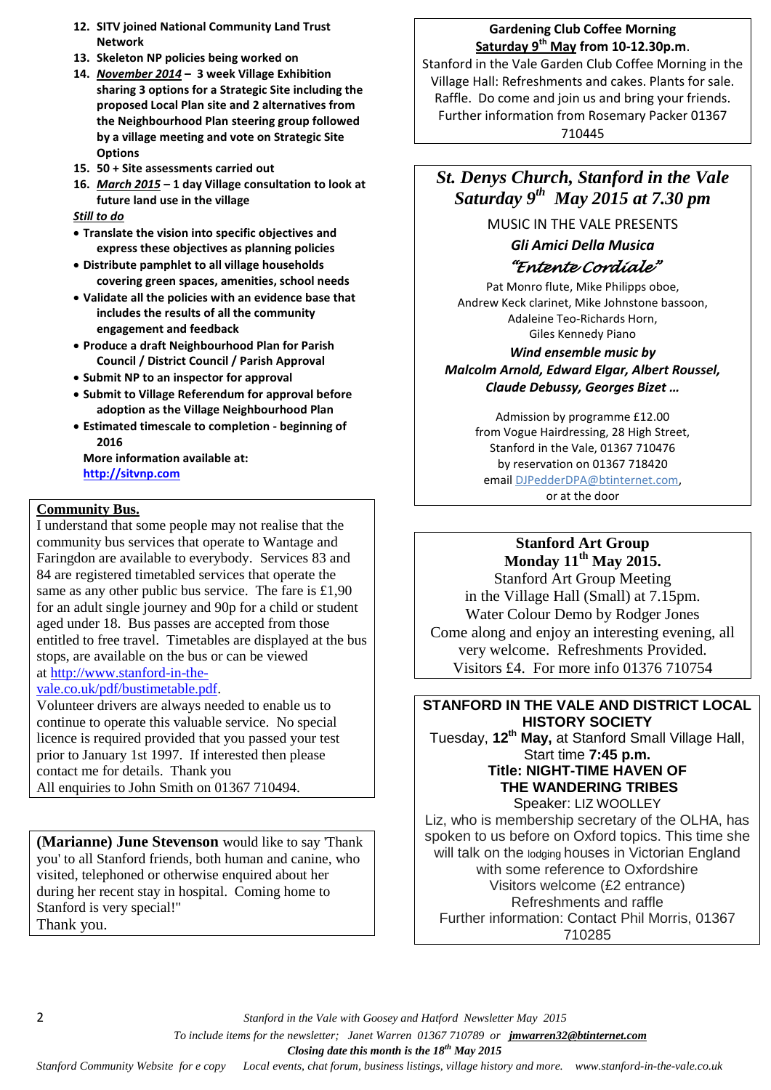- **12. SITV joined National Community Land Trust Network**
- **13. Skeleton NP policies being worked on**
- **14.** *November 2014* **– 3 week Village Exhibition sharing 3 options for a Strategic Site including the proposed Local Plan site and 2 alternatives from the Neighbourhood Plan steering group followed by a village meeting and vote on Strategic Site Options**
- **15. 50 + Site assessments carried out**
- **16.** *March 2015* **– 1 day Village consultation to look at future land use in the village**

#### *Still to do*

- **Translate the vision into specific objectives and express these objectives as planning policies**
- **Distribute pamphlet to all village households covering green spaces, amenities, school needs**
- **Validate all the policies with an evidence base that includes the results of all the community engagement and feedback**
- **Produce a draft Neighbourhood Plan for Parish Council / District Council / Parish Approval**
- **Submit NP to an inspector for approval**
- **Submit to Village Referendum for approval before adoption as the Village Neighbourhood Plan**
- **Estimated timescale to completion - beginning of 2016**

**More information available at: [http://sitvnp.com](http://sitvnp.com/)**

#### **Community Bus.**

I understand that some people may not realise that the community bus services that operate to Wantage and Faringdon are available to everybody. Services 83 and 84 are registered timetabled services that operate the same as any other public bus service. The fare is £1,90 for an adult single journey and 90p for a child or student aged under 18. Bus passes are accepted from those entitled to free travel. Timetables are displayed at the bus stops, are available on the bus or can be viewed at [http://www.stanford-in-the-](http://www.stanford-in-the-vale.co.uk/pdf/bustimetable.pdf)

#### [vale.co.uk/pdf/bustimetable.pdf.](http://www.stanford-in-the-vale.co.uk/pdf/bustimetable.pdf)

Volunteer drivers are always needed to enable us to continue to operate this valuable service. No special licence is required provided that you passed your test prior to January 1st 1997. If interested then please contact me for details. Thank you All enquiries to John Smith on 01367 710494.

**(Marianne) June Stevenson** would like to say 'Thank you' to all Stanford friends, both human and canine, who visited, telephoned or otherwise enquired about her during her recent stay in hospital. Coming home to Stanford is very special!" Thank you.

#### **Gardening Club Coffee Morning Saturday 9th May from 10-12.30p.m**.

Stanford in the Vale Garden Club Coffee Morning in the Village Hall: Refreshments and cakes. Plants for sale. Raffle. Do come and join us and bring your friends. Further information from Rosemary Packer 01367 710445

## *St. Denys Church, Stanford in the Vale Saturday 9th May 2015 at 7.30 pm*

MUSIC IN THE VALE PRESENTS

## *Gli Amici Della Musica "Entente Cordiale"*

Pat Monro flute, Mike Philipps oboe, Andrew Keck clarinet, Mike Johnstone bassoon, Adaleine Teo-Richards Horn, Giles Kennedy Piano

*Wind ensemble music by Malcolm Arnold, Edward Elgar, Albert Roussel, Claude Debussy, Georges Bizet …*

Admission by programme £12.00 from Vogue Hairdressing, 28 High Street, Stanford in the Vale, 01367 710476 by reservation on 01367 718420 email [DJPedderDPA@btinternet.com,](mailto:DJPedderDPA@btinternet.com) or at the door

#### **Stanford Art Group Monday 11th May 2015.**

Stanford Art Group Meeting in the Village Hall (Small) at 7.15pm. Water Colour Demo by Rodger Jones Come along and enjoy an interesting evening, all very welcome. Refreshments Provided. Visitors £4. For more info 01376 710754

#### **STANFORD IN THE VALE AND DISTRICT LOCAL HISTORY SOCIETY** Tuesday, **12th May,** at Stanford Small Village Hall, Start time **7:45 p.m. Title: NIGHT-TIME HAVEN OF**

**THE WANDERING TRIBES** Speaker: LIZ WOOLLEY Liz, who is membership secretary of the OLHA, has spoken to us before on Oxford topics. This time she will talk on the lodging houses in Victorian England with some reference to Oxfordshire Visitors welcome (£2 entrance) Refreshments and raffle Further information: Contact Phil Morris, 01367 710285

2 *Stanford in the Vale with Goosey and Hatford Newsletter May 2015*

 *To include items for the newsletter; Janet Warren 01367 710789 or jmwarren32@btinternet.com*

 *Closing date this month is the 18th May 2015*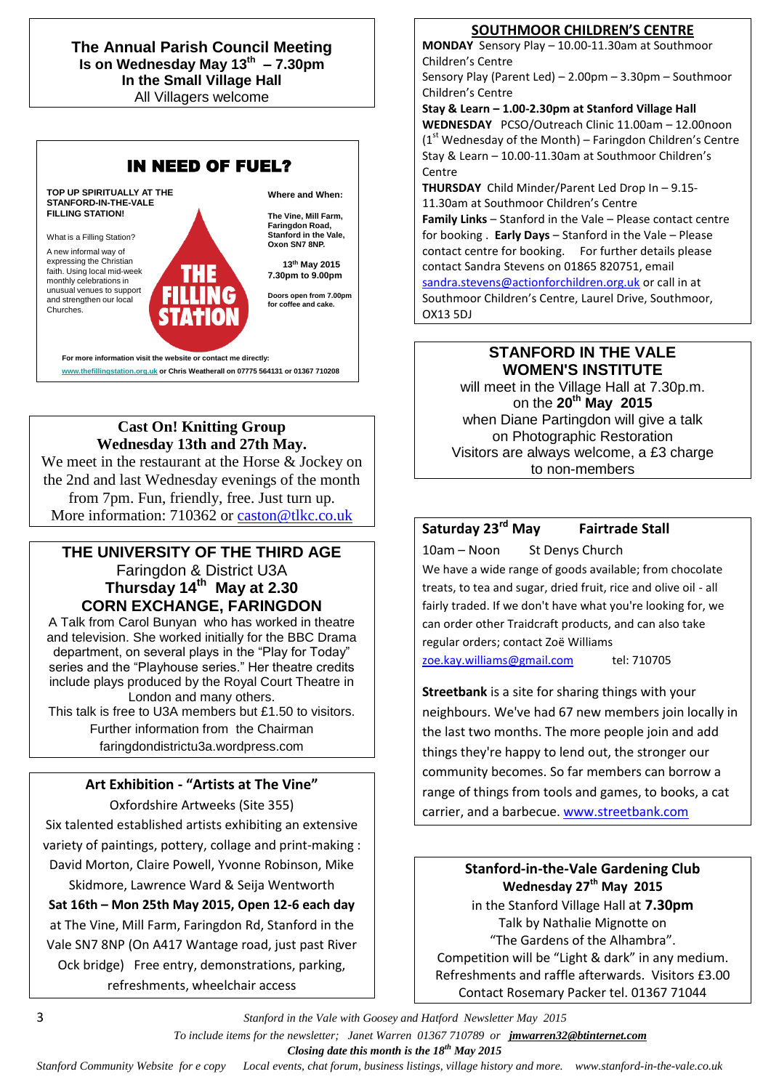**The Annual Parish Council Meeting Is on Wednesday May 13th – 7.30pm In the Small Village Hall** All Villagers welcome



## **Cast On! Knitting Group Wednesday 13th and 27th May.**

We meet in the restaurant at the Horse & Jockey on the 2nd and last Wednesday evenings of the month from 7pm. Fun, friendly, free. Just turn up. More information: 710362 or [caston@tlkc.co.uk](mailto:caston@tlkc.co.uk)

## **THE UNIVERSITY OF THE THIRD AGE** Faringdon & District U3A **Thursday 14th May at 2.30 CORN EXCHANGE, FARINGDON**

A Talk from Carol Bunyan who has worked in theatre and television. She worked initially for the BBC Drama department, on several plays in the "Play for Today" series and the "Playhouse series." Her theatre credits include plays produced by the Royal Court Theatre in London and many others.

This talk is free to U3A members but £1.50 to visitors. Further information from the Chairman faringdondistrictu3a.wordpress.com

## **Art Exhibition - "Artists at The Vine"**

Oxfordshire Artweeks (Site 355)

Six talented established artists exhibiting an extensive variety of paintings, pottery, collage and print-making : David Morton, Claire Powell, Yvonne Robinson, Mike Skidmore, Lawrence Ward & Seija Wentworth

**Sat 16th – Mon 25th May 2015, Open 12-6 each day** at The Vine, Mill Farm, Faringdon Rd, Stanford in the Vale SN7 8NP (On A417 Wantage road, just past River Ock bridge) Free entry, demonstrations, parking, refreshments, wheelchair access

**SOUTHMOOR CHILDREN'S CENTRE**

**MONDAY** Sensory Play – 10.00-11.30am at Southmoor Children's Centre

Sensory Play (Parent Led) – 2.00pm – 3.30pm – Southmoor Children's Centre

**Stay & Learn – 1.00-2.30pm at Stanford Village Hall WEDNESDAY** PCSO/Outreach Clinic 11.00am – 12.00noon  $(1<sup>st</sup>$  Wednesday of the Month) – Faringdon Children's Centre Stay & Learn – 10.00-11.30am at Southmoor Children's Centre

**THURSDAY** Child Minder/Parent Led Drop In – 9.15- 11.30am at Southmoor Children's Centre **Family Links** – Stanford in the Vale – Please contact centre for booking . **Early Days** – Stanford in the Vale – Please contact centre for booking. For further details please contact Sandra Stevens on 01865 820751, email [sandra.stevens@actionforchildren.org.uk](mailto:sandra.stevens@actionforchildren.org.uk) or call in at Southmoor Children's Centre, Laurel Drive, Southmoor, OX13 5DJ

## **STANFORD IN THE VALE WOMEN'S INSTITUTE**

will meet in the Village Hall at 7.30p.m. on the **20th May 2015** when Diane Partingdon will give a talk on Photographic Restoration Visitors are always welcome, a £3 charge to non-members

## **Saturday 23rd May Fairtrade Stall**

10am – Noon St Denys Church We have a wide range of goods available; from chocolate treats, to tea and sugar, dried fruit, rice and olive oil - all fairly traded. If we don't have what you're looking for, we can order other Traidcraft products, and can also take regular orders; contact Zoë Williams [zoe.kay.williams@gmail.com](mailto:zoe.kay.williams@gmail.com) tel: 710705

**Streetbank** is a site for sharing things with your neighbours. We've had 67 new members join locally in the last two months. The more people join and add things they're happy to lend out, the stronger our community becomes. So far members can borrow a range of things from tools and games, to books, a cat carrier, and a barbecue. [www.streetbank.com](http://www.streetbank.com/)

> **Stanford-in-the-Vale Gardening Club Wednesday 27th May 2015**

in the Stanford Village Hall at **7.30pm** Talk by Nathalie Mignotte on "The Gardens of the Alhambra". Competition will be "Light & dark" in any medium. Refreshments and raffle afterwards. Visitors £3.00 Contact Rosemary Packer tel. 01367 71044

3 *Stanford in the Vale with Goosey and Hatford Newsletter May 2015*

 *To include items for the newsletter; Janet Warren 01367 710789 or jmwarren32@btinternet.com*

 *Closing date this month is the 18th May 2015*